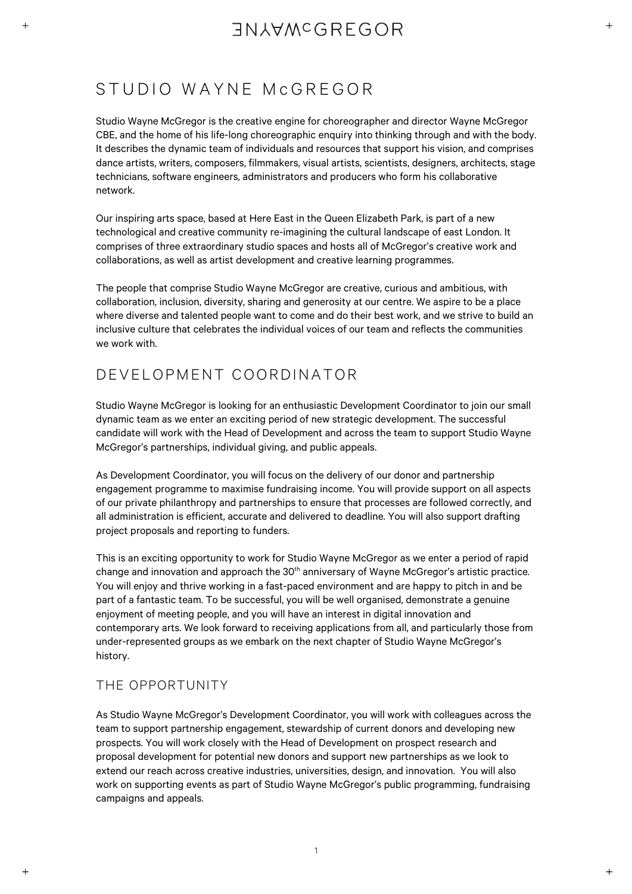## **TNIAWCGREGOR**

### STUDIO WAYNE McGREGOR

Studio Wayne McGregor is the creative engine for choreographer and director Wayne McGregor CBE, and the home of his life-long choreographic enquiry into thinking through and with the body. It describes the dynamic team of individuals and resources that support his vision, and comprises dance artists, writers, composers, filmmakers, visual artists, scientists, designers, architects, stage technicians, software engineers, administrators and producers who form his collaborative network.

Our inspiring arts space, based at Here East in the Queen Elizabeth Park, is part of a new technological and creative community re-imagining the cultural landscape of east London. It comprises of three extraordinary studio spaces and hosts all of McGregor's creative work and collaborations, as well as artist development and creative learning programmes.

The people that comprise Studio Wayne McGregor are creative, curious and ambitious, with collaboration, inclusion, diversity, sharing and generosity at our centre. We aspire to be a place where diverse and talented people want to come and do their best work, and we strive to build an inclusive culture that celebrates the individual voices of our team and reflects the communities we work with.

### DEVELOPMENT COORDINATOR

Studio Wayne McGregor is looking for an enthusiastic Development Coordinator to join our small dynamic team as we enter an exciting period of new strategic development. The successful candidate will work with the Head of Development and across the team to support Studio Wayne McGregor's partnerships, individual giving, and public appeals.

As Development Coordinator, you will focus on the delivery of our donor and partnership engagement programme to maximise fundraising income. You will provide support on all aspects of our private philanthropy and partnerships to ensure that processes are followed correctly, and all administration is efficient, accurate and delivered to deadline. You will also support drafting project proposals and reporting to funders.

This is an exciting opportunity to work for Studio Wayne McGregor as we enter a period of rapid change and innovation and approach the 30<sup>th</sup> anniversary of Wayne McGregor's artistic practice. You will enjoy and thrive working in a fast-paced environment and are happy to pitch in and be part of a fantastic team. To be successful, you will be well organised, demonstrate a genuine enjoyment of meeting people, and you will have an interest in digital innovation and contemporary arts. We look forward to receiving applications from all, and particularly those from under-represented groups as we embark on the next chapter of Studio Wayne McGregor's history.

### THE OPPORTUNITY

As Studio Wayne McGregor's Development Coordinator, you will work with colleagues across the team to support partnership engagement, stewardship of current donors and developing new prospects. You will work closely with the Head of Development on prospect research and proposal development for potential new donors and support new partnerships as we look to extend our reach across creative industries, universities, design, and innovation. You will also work on supporting events as part of Studio Wayne McGregor's public programming, fundraising campaigns and appeals.

1

 $\ddot{}$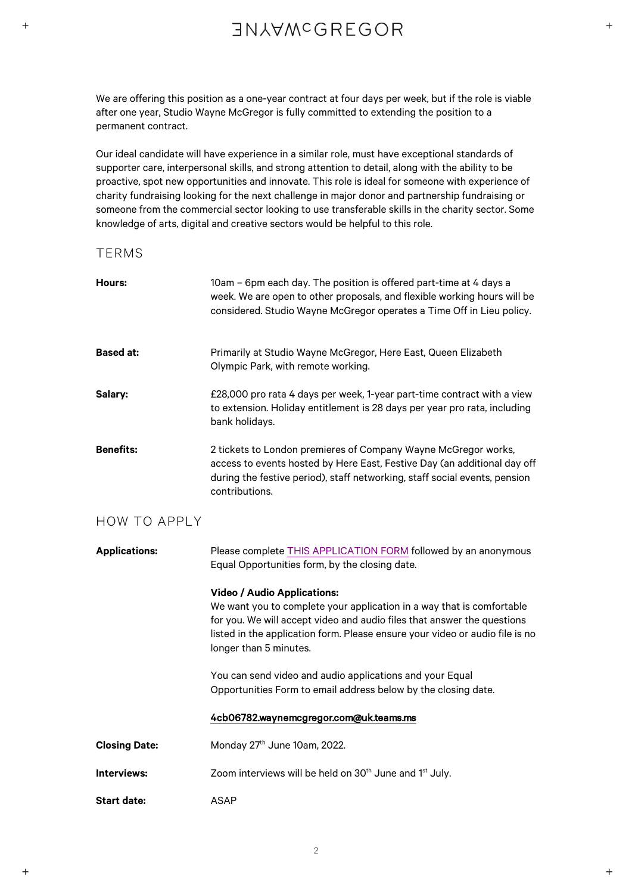# **INJAWCGREGOR**

We are offering this position as a one-year contract at four days per week, but if the role is viable after one year, Studio Wayne McGregor is fully committed to extending the position to a permanent contract.

Our ideal candidate will have experience in a similar role, must have exceptional standards of supporter care, interpersonal skills, and strong attention to detail, along with the ability to be proactive, spot new opportunities and innovate. This role is ideal for someone with experience of charity fundraising looking for the next challenge in major donor and partnership fundraising or someone from the commercial sector looking to use transferable skills in the charity sector. Some knowledge of arts, digital and creative sectors would be helpful to this role.

### TERMS

| Hours:               | 10am - 6pm each day. The position is offered part-time at 4 days a<br>week. We are open to other proposals, and flexible working hours will be<br>considered. Studio Wayne McGregor operates a Time Off in Lieu policy.                                                                          |
|----------------------|--------------------------------------------------------------------------------------------------------------------------------------------------------------------------------------------------------------------------------------------------------------------------------------------------|
| <b>Based at:</b>     | Primarily at Studio Wayne McGregor, Here East, Queen Elizabeth<br>Olympic Park, with remote working.                                                                                                                                                                                             |
| Salary:              | £28,000 pro rata 4 days per week, 1-year part-time contract with a view<br>to extension. Holiday entitlement is 28 days per year pro rata, including<br>bank holidays.                                                                                                                           |
| <b>Benefits:</b>     | 2 tickets to London premieres of Company Wayne McGregor works,<br>access to events hosted by Here East, Festive Day (an additional day off<br>during the festive period), staff networking, staff social events, pension<br>contributions.                                                       |
| <b>HOW TO APPLY</b>  |                                                                                                                                                                                                                                                                                                  |
| <b>Applications:</b> | Please complete THIS APPLICATION FORM followed by an anonymous<br>Equal Opportunities form, by the closing date.                                                                                                                                                                                 |
|                      | <b>Video / Audio Applications:</b><br>We want you to complete your application in a way that is comfortable<br>for you. We will accept video and audio files that answer the questions<br>listed in the application form. Please ensure your video or audio file is no<br>longer than 5 minutes. |
|                      |                                                                                                                                                                                                                                                                                                  |
|                      | You can send video and audio applications and your Equal<br>Opportunities Form to email address below by the closing date.                                                                                                                                                                       |
|                      | 4cb06782.waynemcgregor.com@uk.teams.ms                                                                                                                                                                                                                                                           |
| <b>Closing Date:</b> | Monday 27 <sup>th</sup> June 10am, 2022.                                                                                                                                                                                                                                                         |
| Interviews:          | Zoom interviews will be held on 30 <sup>th</sup> June and 1 <sup>st</sup> July.                                                                                                                                                                                                                  |

 $\ddot{}$